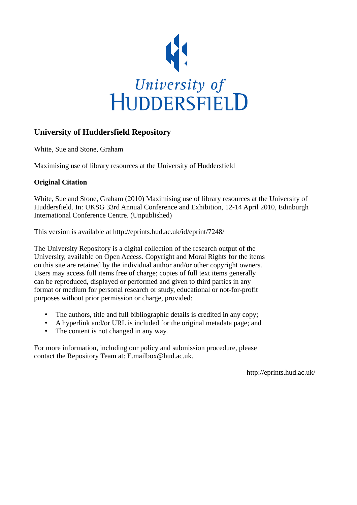

# **University of Huddersfield Repository**

White, Sue and Stone, Graham

Maximising use of library resources at the University of Huddersfield

## **Original Citation**

White, Sue and Stone, Graham (2010) Maximising use of library resources at the University of Huddersfield. In: UKSG 33rd Annual Conference and Exhibition, 12-14 April 2010, Edinburgh International Conference Centre. (Unpublished)

This version is available at http://eprints.hud.ac.uk/id/eprint/7248/

The University Repository is a digital collection of the research output of the University, available on Open Access. Copyright and Moral Rights for the items on this site are retained by the individual author and/or other copyright owners. Users may access full items free of charge; copies of full text items generally can be reproduced, displayed or performed and given to third parties in any format or medium for personal research or study, educational or not-for-profit purposes without prior permission or charge, provided:

- The authors, title and full bibliographic details is credited in any copy;
- A hyperlink and/or URL is included for the original metadata page; and
- The content is not changed in any way.

For more information, including our policy and submission procedure, please contact the Repository Team at: E.mailbox@hud.ac.uk.

http://eprints.hud.ac.uk/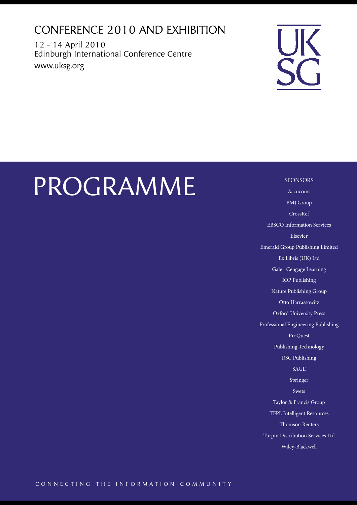# Conference 2010 and Exhibition

12 - 14 April 2010 Edinburgh International Conference Centre www.uksg.org

# UK<br>SC:

# PROGRAMME

SPONSORS Accucoms BMJ Group CrossRef EBSCO Information Services Elsevier Emerald Group Publishing Limited Ex Libris (UK) Ltd Gale | Cengage Learning IOP Publishing Nature Publishing Group Otto Harrassowitz Oxford University Press Professional Engineering Publishing ProQuest Publishing Technology RSC Publishing SAGE Springer Swets Taylor & Francis Group TFPL Intelligent Resources Thomson Reuters Turpin Distribution Services Ltd Wiley-Blackwell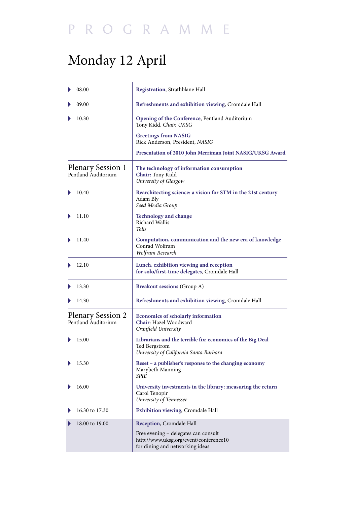# Monday 12 April

|                                                 | 08.00          | Registration, Strathblane Hall                                                                                        |  |
|-------------------------------------------------|----------------|-----------------------------------------------------------------------------------------------------------------------|--|
|                                                 | 09.00          | Refreshments and exhibition viewing, Cromdale Hall                                                                    |  |
| 10.30                                           |                | <b>Opening of the Conference, Pentland Auditorium</b><br>Tony Kidd, Chair, UKSG                                       |  |
|                                                 |                | <b>Greetings from NASIG</b><br>Rick Anderson, President, NASIG                                                        |  |
|                                                 |                | Presentation of 2010 John Merriman Joint NASIG/UKSG Award                                                             |  |
| <b>Plenary Session 1</b><br>Pentland Auditorium |                | The technology of information consumption<br>Chair: Tony Kidd<br>University of Glasgow                                |  |
|                                                 | 10.40          | Rearchitecting science: a vision for STM in the 21st century<br>Adam Bly<br>Seed Media Group                          |  |
|                                                 | 11.10          | <b>Technology and change</b><br><b>Richard Wallis</b><br><i>Talis</i>                                                 |  |
|                                                 | 11.40          | Computation, communication and the new era of knowledge<br>Conrad Wolfram<br>Wolfram Research                         |  |
|                                                 | 12.10          | Lunch, exhibition viewing and reception<br>for solo/first-time delegates, Cromdale Hall                               |  |
|                                                 | 13.30          | <b>Breakout sessions</b> (Group A)                                                                                    |  |
|                                                 | 14.30          | Refreshments and exhibition viewing, Cromdale Hall                                                                    |  |
| <b>Plenary Session 2</b><br>Pentland Auditorium |                | Economics of scholarly information<br>Chair: Hazel Woodward<br>Cranfield University                                   |  |
|                                                 | 15.00          | Librarians and the terrible fix: economics of the Big Deal<br>Ted Bergstrom<br>University of California Santa Barbara |  |
|                                                 | 15.30          | Reset – a publisher's response to the changing economy<br>Marybeth Manning<br><b>SPIE</b>                             |  |
|                                                 | 16.00          | University investments in the library: measuring the return<br>Carol Tenopir<br>University of Tennessee               |  |
|                                                 | 16.30 to 17.30 | <b>Exhibition viewing, Cromdale Hall</b>                                                                              |  |
|                                                 | 18.00 to 19.00 | Reception, Cromdale Hall                                                                                              |  |
|                                                 |                | Free evening – delegates can consult<br>http://www.uksg.org/event/conference10<br>for dining and networking ideas     |  |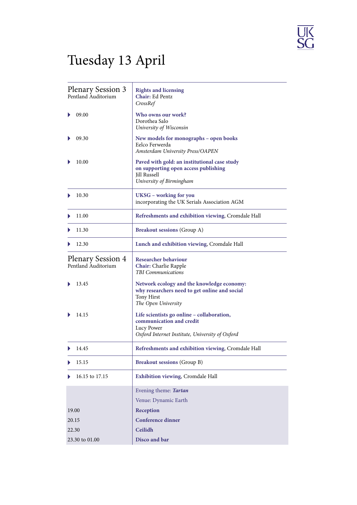# UK<br>SG

# Tuesday 13 April

| <b>Plenary Session 3</b><br>Pentland Auditorium      | <b>Rights and licensing</b><br>Chair: Ed Pentz<br>CrossRef                                                                              |  |
|------------------------------------------------------|-----------------------------------------------------------------------------------------------------------------------------------------|--|
| 09.00                                                | Who owns our work?<br>Dorothea Salo<br>University of Wisconsin                                                                          |  |
| 09.30                                                | New models for monographs - open books<br>Eelco Ferwerda<br>Amsterdam University Press/OAPEN                                            |  |
| 10.00                                                | Paved with gold: an institutional case study<br>on supporting open access publishing<br>Jill Russell<br>University of Birmingham        |  |
| 10.30                                                | <b>UKSG</b> - working for you<br>incorporating the UK Serials Association AGM                                                           |  |
| 11.00                                                | Refreshments and exhibition viewing, Cromdale Hall                                                                                      |  |
| 11.30                                                | <b>Breakout sessions (Group A)</b>                                                                                                      |  |
| 12.30<br>Lunch and exhibition viewing, Cromdale Hall |                                                                                                                                         |  |
| <b>Plenary Session 4</b><br>Pentland Auditorium      | <b>Researcher behaviour</b><br><b>Chair:</b> Charlie Rapple<br><b>TBI</b> Communications                                                |  |
| 13.45                                                | Network ecology and the knowledge economy:<br>why researchers need to get online and social<br><b>Tony Hirst</b><br>The Open University |  |
| 14.15                                                | Life scientists go online - collaboration,<br>communication and credit<br>Lucy Power<br>Oxford Internet Institute, University of Oxford |  |
| 14.45                                                | Refreshments and exhibition viewing, Cromdale Hall                                                                                      |  |
| 15.15                                                | <b>Breakout sessions (Group B)</b>                                                                                                      |  |
| 16.15 to 17.15                                       | Exhibition viewing, Cromdale Hall                                                                                                       |  |
|                                                      | Evening theme: Tartan<br>Venue: Dynamic Earth                                                                                           |  |
| 19.00                                                | Reception                                                                                                                               |  |
| 20.15                                                | <b>Conference dinner</b>                                                                                                                |  |
| 22.30                                                | Ceilidh                                                                                                                                 |  |
| 23.30 to 01.00                                       | Disco and bar                                                                                                                           |  |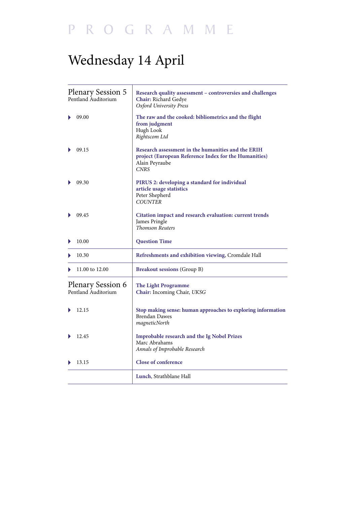# Wednesday 14 April

| <b>Plenary Session 5</b><br>Pentland Auditorium |       | Research quality assessment - controversies and challenges<br>Chair: Richard Gedye<br>Oxford University Press                                       |  |
|-------------------------------------------------|-------|-----------------------------------------------------------------------------------------------------------------------------------------------------|--|
| 09.00                                           |       | The raw and the cooked: bibliometrics and the flight<br>from judgment<br>Hugh Look<br>Rightscom Ltd                                                 |  |
|                                                 | 09.15 | <b>Research assessment in the humanities and the ERIH</b><br>project (European Reference Index for the Humanities)<br>Alain Peyraube<br><b>CNRS</b> |  |
|                                                 | 09.30 | PIRUS 2: developing a standard for individual<br>article usage statistics<br>Peter Shepherd<br><b>COUNTER</b>                                       |  |
|                                                 | 09.45 | Citation impact and research evaluation: current trends<br>James Pringle<br>Thomson Reuters                                                         |  |
|                                                 | 10.00 | <b>Question Time</b>                                                                                                                                |  |
|                                                 | 10.30 | Refreshments and exhibition viewing, Cromdale Hall                                                                                                  |  |
| 11.00 to 12.00                                  |       | <b>Breakout sessions</b> (Group B)                                                                                                                  |  |
| <b>Plenary Session 6</b><br>Pentland Auditorium |       | <b>The Light Programme</b><br>Chair: Incoming Chair, UKSG                                                                                           |  |
|                                                 | 12.15 | Stop making sense: human approaches to exploring information<br><b>Brendan Dawes</b><br>magneticNorth                                               |  |
|                                                 | 12.45 | <b>Improbable research and the Ig Nobel Prizes</b><br>Marc Abrahams<br>Annals of Improbable Research                                                |  |
| 13.15                                           |       | <b>Close of conference</b>                                                                                                                          |  |
|                                                 |       | Lunch, Strathblane Hall                                                                                                                             |  |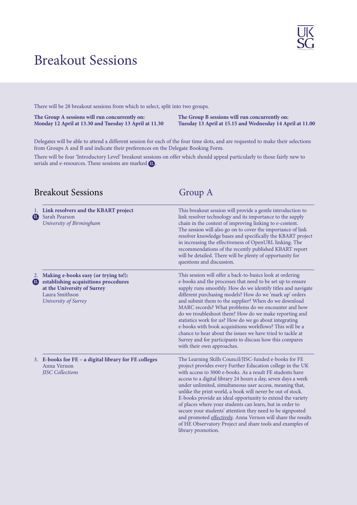# Breakout Sessions

There will be 28 breakout sessions from which to select, split into two groups.

**The Group A sessions will run concurrently on: Monday 12 April at 13.30 and Tuesday 13 April at 11.30** **The Group B sessions will run concurrently on: Tuesday 13 April at 15.15 and Wednesday 14 April at 11.00**

Delegates will be able to attend a different session for each of the four time slots, and are requested to make their selections from Groups A and B and indicate their preferences on the Delegate Booking Form.

There will be four 'Introductory Level' breakout sessions on offer which should appeal particularly to those fairly new to serials and e-resources. These sessions are marked  $\blacksquare$  .

# Breakout Sessions Group A

1. **Link resolvers and the KBART project** Sarah Pearson **IL** *University of Birmingham* 2. **Making e-books easy (or trying to!): establishing acquisitions procedures IL at the University of Surrey** Laura Smithson *University of Surrey* 3. **E-books for FE – a digital library for FE colleges** Anna Vernon *JISC Collections* This breakout session will provide a gentle introduction to link resolver technology and its importance to the supply chain in the context of improving linking to e-content. The session will also go on to cover the importance of link resolver knowledge bases and specifically the KBART project in increasing the effectiveness of OpenURL linking. The recommendations of the recently published KBART report will be detailed. There will be plenty of opportunity for questions and discussion. This session will offer a back-to-basics look at ordering e-books and the processes that need to be set up to ensure supply runs smoothly. How do we identify titles and navigate different purchasing models? How do we 'mark up' orders and submit them to the supplier? When do we download MARC records? What problems do we encounter and how do we troubleshoot them? How do we make reporting and statistics work for us? How do we go about integrating e-books with book acquisitions workflows? This will be a chance to hear about the issues we have tried to tackle at Surrey and for participants to discuss how this compares with their own approaches. The Learning Skills Council/JISC-funded e-books for FE project provides every Further Education college in the UK with access to 3000 e-books. As a result FE students have access to a digital library 24 hours a day, seven days a week under unlimited, simultaneous user access, meaning that,

unlike the print world, a book will never be out of stock. E-books provide an ideal opportunity to extend the variety of places where your students can learn, but in order to secure your students' attention they need to be signposted and promoted effectively. Anna Vernon will share the results of HE Observatory Project and share tools and examples of library promotion.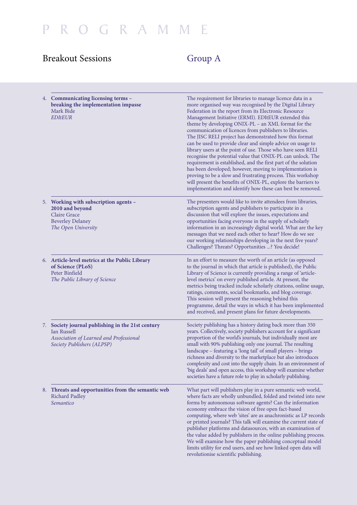# Breakout Sessions Group A

| 4. Communicating licensing terms -<br>breaking the implementation impasse<br>Mark Bide<br><b>EDItEUR</b>                                  | The requirement for libraries to manage licence data in a<br>more organised way was recognised by the Digital Library<br>Federation in the report from its Electronic Resource<br>Management Initiative (ERMI). EDItEUR extended this<br>theme by developing ONIX-PL - an XML format for the<br>communication of licences from publishers to libraries.<br>The JISC RELI project has demonstrated how this format<br>can be used to provide clear and simple advice on usage to<br>library users at the point of use. Those who have seen RELI<br>recognise the potential value that ONIX-PL can unlock. The<br>requirement is established, and the first part of the solution<br>has been developed; however, moving to implementation is<br>proving to be a slow and frustrating process. This workshop<br>will present the benefits of ONIX-PL, explore the barriers to<br>implementation and identify how these can best be removed. |
|-------------------------------------------------------------------------------------------------------------------------------------------|------------------------------------------------------------------------------------------------------------------------------------------------------------------------------------------------------------------------------------------------------------------------------------------------------------------------------------------------------------------------------------------------------------------------------------------------------------------------------------------------------------------------------------------------------------------------------------------------------------------------------------------------------------------------------------------------------------------------------------------------------------------------------------------------------------------------------------------------------------------------------------------------------------------------------------------|
| 5. Working with subscription agents -<br>2010 and beyond<br><b>Claire Grace</b><br><b>Beverley Delaney</b><br>The Open University         | The presenters would like to invite attendees from libraries,<br>subscription agents and publishers to participate in a<br>discussion that will explore the issues, expectations and<br>opportunities facing everyone in the supply of scholarly<br>information in an increasingly digital world. What are the key<br>messages that we need each other to hear? How do we see<br>our working relationships developing in the next five years?<br>Challenges? Threats? Opportunities ? You decide!                                                                                                                                                                                                                                                                                                                                                                                                                                        |
| 6. Article-level metrics at the Public Library<br>of Science (PLoS)<br>Peter Binfield<br>The Public Library of Science                    | In an effort to measure the worth of an article (as opposed<br>to the journal in which that article is published), the Public<br>Library of Science is currently providing a range of 'article-<br>level metrics' on every published article. At present, the<br>metrics being tracked include scholarly citations, online usage,<br>ratings, comments, social bookmarks, and blog coverage.<br>This session will present the reasoning behind this<br>programme, detail the ways in which it has been implemented<br>and received, and present plans for future developments.                                                                                                                                                                                                                                                                                                                                                           |
| 7. Society journal publishing in the 21st century<br>Ian Russell<br>Association of Learned and Professional<br>Society Publishers (ALPSP) | Society publishing has a history dating back more than 350<br>years. Collectively, society publishers account for a significant<br>proportion of the world's journals, but individually most are<br>small with 90% publishing only one journal. The resulting<br>landscape - featuring a 'long tail' of small players - brings<br>richness and diversity to the marketplace but also introduces<br>complexity and cost into the supply chain. In an environment of<br>'big deals' and open access, this workshop will examine whether<br>societies have a future role to play in scholarly publishing.                                                                                                                                                                                                                                                                                                                                   |
| 8. Threats and opportunities from the semantic web<br><b>Richard Padley</b><br>Semantico                                                  | What part will publishers play in a pure semantic web world,<br>where facts are wholly unbundled, folded and twisted into new<br>forms by autonomous software agents? Can the information<br>economy embrace the vision of free open fact-based<br>computing, where web 'sites' are as anachronistic as LP records<br>or printed journals? This talk will examine the current state of<br>publisher platforms and datasources, with an examination of<br>the value added by publishers in the online publishing process.<br>We will examine how the paper publishing conceptual model<br>limits utility for end users, and see how linked open data will<br>revolutionise scientific publishing.                                                                                                                                                                                                                                         |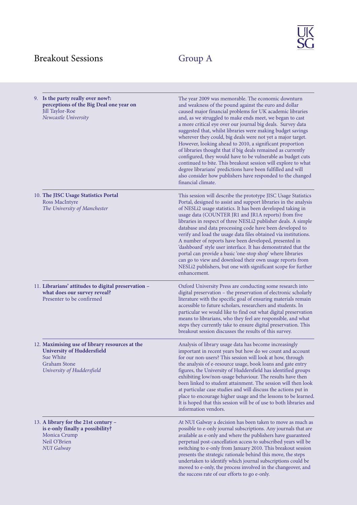# Breakout Sessions Group A

UK<br>SG

| 9. Is the party really over now?:<br>perceptions of the Big Deal one year on<br>Jill Taylor-Roe<br>Newcastle University                               | The year 2009 was memorable. The economic downturn<br>and weakness of the pound against the euro and dollar<br>caused major financial problems for UK academic libraries<br>and, as we struggled to make ends meet, we began to cast<br>a more critical eye over our journal big deals. Survey data<br>suggested that, whilst libraries were making budget savings<br>wherever they could, big deals were not yet a major target.<br>However, looking ahead to 2010, a significant proportion<br>of libraries thought that if big deals remained as currently<br>configured, they would have to be vulnerable as budget cuts<br>continued to bite. This breakout session will explore to what<br>degree librarians' predictions have been fulfilled and will<br>also consider how publishers have responded to the changed<br>financial climate. |
|-------------------------------------------------------------------------------------------------------------------------------------------------------|--------------------------------------------------------------------------------------------------------------------------------------------------------------------------------------------------------------------------------------------------------------------------------------------------------------------------------------------------------------------------------------------------------------------------------------------------------------------------------------------------------------------------------------------------------------------------------------------------------------------------------------------------------------------------------------------------------------------------------------------------------------------------------------------------------------------------------------------------|
| 10. The JISC Usage Statistics Portal<br>Ross MacIntyre<br>The University of Manchester                                                                | This session will describe the prototype JISC Usage Statistics<br>Portal, designed to assist and support libraries in the analysis<br>of NESLi2 usage statistics. It has been developed taking in<br>usage data (COUNTER JR1 and JR1A reports) from five<br>libraries in respect of three NESLi2 publisher deals. A simple<br>database and data processing code have been developed to<br>verify and load the usage data files obtained via institutions.<br>A number of reports have been developed, presented in<br>'dashboard' style user interface. It has demonstrated that the<br>portal can provide a basic 'one-stop shop' where libraries<br>can go to view and download their own usage reports from<br>NESLi2 publishers, but one with significant scope for further<br>enhancement.                                                  |
| 11. Librarians' attitudes to digital preservation -<br>what does our survey reveal?<br>Presenter to be confirmed                                      | Oxford University Press are conducting some research into<br>digital preservation - the preservation of electronic scholarly<br>literature with the specific goal of ensuring materials remain<br>accessible to future scholars, researchers and students. In<br>particular we would like to find out what digital preservation<br>means to librarians, who they feel are responsible, and what<br>steps they currently take to ensure digital preservation. This<br>breakout session discusses the results of this survey.                                                                                                                                                                                                                                                                                                                      |
| 12. Maximising use of library resources at the<br><b>University of Huddersfield</b><br>Sue White<br><b>Graham Stone</b><br>University of Huddersfield | Analysis of library usage data has become increasingly<br>important in recent years but how do we count and account<br>for our non-users? This session will look at how, through<br>the analysis of e-resource usage, book loans and gate entry<br>figures, the University of Huddersfield has identified groups<br>exhibiting low/non-usage behaviour. The results have then<br>been linked to student attainment. The session will then look<br>at particular case studies and will discuss the actions put in<br>place to encourage higher usage and the lessons to be learned.<br>It is hoped that this session will be of use to both libraries and<br>information vendors.                                                                                                                                                                 |
| 13. A library for the 21st century -<br>is e-only finally a possibility?<br>Monica Crump<br>Neil O'Brien<br><b>NUI Galway</b>                         | At NUI Galway a decision has been taken to move as much as<br>possible to e-only journal subscriptions. Any journals that are<br>available as e-only and where the publishers have guaranteed<br>perpetual post-cancellation access to subscribed years will be<br>switching to e-only from January 2010. This breakout session<br>presents the strategic rationale behind this move, the steps<br>undertaken to identify which journal subscriptions could be<br>moved to e-only, the process involved in the changeover, and<br>the success rate of our efforts to go e-only.                                                                                                                                                                                                                                                                  |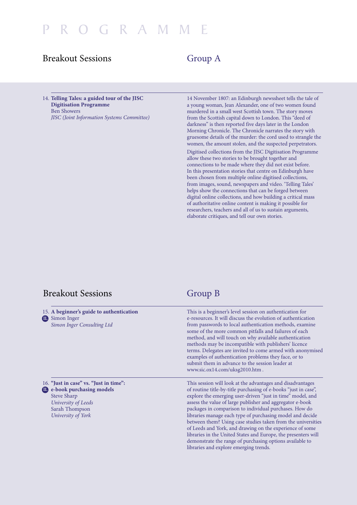# Breakout Sessions Group A

14. **Telling Tales: a guided tour of the JISC Digitisation Programme** Ben Showers *JISC (Joint Information Systems Committee)* 14 November 1807: an Edinburgh newssheet tells the tale of a young woman, Jean Alexander, one of two women found murdered in a small west Scottish town. The story moves from the Scottish capital down to London. This "deed of darkness" is then reported five days later in the London Morning Chronicle. The Chronicle narrates the story with gruesome details of the murder: the cord used to strangle the women, the amount stolen, and the suspected perpetrators.

Digitised collections from the JISC Digitisation Programme allow these two stories to be brought together and connections to be made where they did not exist before. In this presentation stories that centre on Edinburgh have been chosen from multiple online digitised collections, from images, sound, newspapers and video. 'Telling Tales' helps show the connections that can be forged between digital online collections, and how building a critical mass of authoritative online content is making it possible for researchers, teachers and all of us to sustain arguments, elaborate critiques, and tell our own stories.

## Breakout Sessions Group B

| 15. A beginner's guide to authentication<br><b>ID</b> Simon Inger<br>Simon Inger Consulting Ltd                                                                   | This is a beginner's level session on authentication for<br>e-resources. It will discuss the evolution of authentication<br>from passwords to local authentication methods, examine<br>some of the more common pitfalls and failures of each<br>method, and will touch on why available authentication<br>methods may be incompatible with publishers' licence<br>terms. Delegates are invited to come armed with anonymised<br>examples of authentication problems they face, or to<br>submit them in advance to the session leader at<br>www.sic.ox14.com/uksg2010.htm.                                                                                                           |
|-------------------------------------------------------------------------------------------------------------------------------------------------------------------|-------------------------------------------------------------------------------------------------------------------------------------------------------------------------------------------------------------------------------------------------------------------------------------------------------------------------------------------------------------------------------------------------------------------------------------------------------------------------------------------------------------------------------------------------------------------------------------------------------------------------------------------------------------------------------------|
| 16. "Just in case" vs. "Just in time":<br><b>ID</b> e-book purchasing models<br><b>Steve Sharp</b><br>University of Leeds<br>Sarah Thompson<br>University of York | This session will look at the advantages and disadvantages<br>of routine title-by-title purchasing of e-books "just in case",<br>explore the emerging user-driven "just in time" model, and<br>assess the value of large publisher and aggregator e-book<br>packages in comparison to individual purchases. How do<br>libraries manage each type of purchasing model and decide<br>between them? Using case studies taken from the universities<br>of Leeds and York, and drawing on the experience of some<br>libraries in the United States and Europe, the presenters will<br>demonstrate the range of purchasing options available to<br>libraries and explore emerging trends. |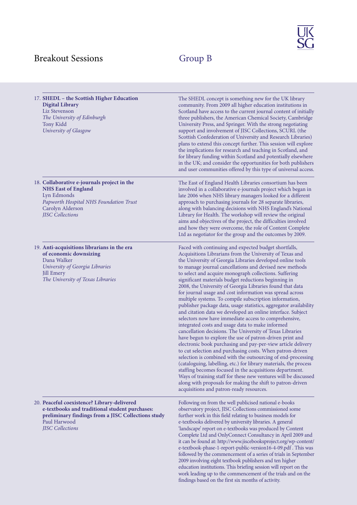# Breakout Sessions Group B

UK<br>SG

| 17. SHEDL - the Scottish Higher Education<br><b>Digital Library</b><br>Liz Stevenson<br>The University of Edinburgh<br>Tony Kidd<br>University of Glasgow                                      | The SHEDL concept is something new for the UK library<br>community. From 2009 all higher education institutions in<br>Scotland have access to the current journal content of initially<br>three publishers, the American Chemical Society, Cambridge<br>University Press, and Springer. With the strong negotiating<br>support and involvement of JISC Collections, SCURL (the<br>Scottish Confederation of University and Research Libraries)<br>plans to extend this concept further. This session will explore<br>the implications for research and teaching in Scotland, and<br>for library funding within Scotland and potentially elsewhere<br>in the UK; and consider the opportunities for both publishers<br>and user communities offered by this type of universal access.                                                                                                                                                                                                                                                                                                                                                                                                                                                                                                                                                                                                                                                 |
|------------------------------------------------------------------------------------------------------------------------------------------------------------------------------------------------|--------------------------------------------------------------------------------------------------------------------------------------------------------------------------------------------------------------------------------------------------------------------------------------------------------------------------------------------------------------------------------------------------------------------------------------------------------------------------------------------------------------------------------------------------------------------------------------------------------------------------------------------------------------------------------------------------------------------------------------------------------------------------------------------------------------------------------------------------------------------------------------------------------------------------------------------------------------------------------------------------------------------------------------------------------------------------------------------------------------------------------------------------------------------------------------------------------------------------------------------------------------------------------------------------------------------------------------------------------------------------------------------------------------------------------------|
| 18. Collaborative e-journals project in the<br><b>NHS East of England</b><br>Lyn Edmonds<br>Papworth Hospital NHS Foundation Trust<br>Carolyn Alderson<br><b>JISC</b> Collections              | The East of England Health Libraries consortium has been<br>involved in a collaborative e-journals project which began in<br>late 2006 when NHS library managers looked for a different<br>approach to purchasing journals for 28 separate libraries,<br>along with balancing decisions with NHS England's National<br>Library for Health. The workshop will review the original<br>aims and objectives of the project, the difficulties involved<br>and how they were overcome, the role of Content Complete<br>Ltd as negotiator for the group and the outcomes by 2009.                                                                                                                                                                                                                                                                                                                                                                                                                                                                                                                                                                                                                                                                                                                                                                                                                                                           |
| 19. Anti-acquisitions librarians in the era<br>of economic downsizing<br>Dana Walker<br>University of Georgia Libraries<br><b>Jill Emery</b><br>The University of Texas Libraries              | Faced with continuing and expected budget shortfalls,<br>Acquisitions Librarians from the University of Texas and<br>the University of Georgia Libraries developed online tools<br>to manage journal cancellations and devised new methods<br>to select and acquire monograph collections. Suffering<br>significant materials budget reductions beginning in<br>2008, the University of Georgia Libraries found that data<br>for journal usage and cost information was spread across<br>multiple systems. To compile subscription information,<br>publisher package data, usage statistics, aggregator availability<br>and citation data we developed an online interface. Subject<br>selectors now have immediate access to comprehensive,<br>integrated costs and usage data to make informed<br>cancellation decisions. The University of Texas Libraries<br>have begun to explore the use of patron-driven print and<br>electronic book purchasing and pay-per-view article delivery<br>to cut selection and purchasing costs. When patron-driven<br>selection is combined with the outsourcing of end-processing<br>(cataloguing, labelling, etc.) for library materials, the process<br>staffing becomes focused in the acquisitions department.<br>Ways of training staff for these new ventures will be discussed<br>along with proposals for making the shift to patron-driven<br>acquisitions and patron-ready resources. |
| 20. Peaceful coexistence? Library-delivered<br>e-textbooks and traditional student purchases:<br>preliminary findings from a JISC Collections study<br>Paul Harwood<br><b>IISC</b> Collections | Following on from the well publicised national e-books<br>observatory project, JISC Collections commissioned some<br>further work in this field relating to business models for<br>e-textbooks delivered by university libraries. A general<br>'landscape' report on e-textbooks was produced by Content<br>Complete Ltd and OnlyConnect Consultancy in April 2009 and<br>it can be found at: http://www.jiscebooksproject.org/wp-content/<br>e-textbook-phase-1-report-public-version16-4-09.pdf. This was<br>followed by the commencement of a series of trials in September<br>2009 involving eight textbook publishers and ten higher<br>education institutions. This briefing session will report on the<br>work leading up to the commencement of the trials and on the                                                                                                                                                                                                                                                                                                                                                                                                                                                                                                                                                                                                                                                        |

findings based on the first six months of activity.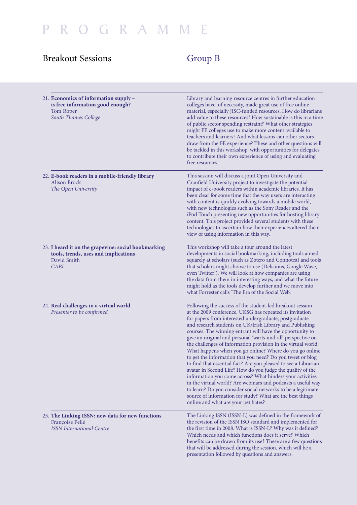# Breakout Sessions Group B

|      | 21. Economics of information supply -<br>is free information good enough?<br>Tom Roper<br>South Thames College | Library and learning resource centres in further education<br>colleges have, of necessity, made great use of free online<br>material, especially JISC-funded resources. How do librarians<br>add value to these resources? How sustainable is this in a time<br>of public sector spending restraint? What other strategies<br>might FE colleges use to make more content available to<br>teachers and learners? And what lessons can other sectors<br>draw from the FE experience? These and other questions will<br>be tackled in this workshop, with opportunities for delegates<br>to contribute their own experience of using and evaluating<br>free resources.                                                                                                                                                                                                                                                                                                                                  |
|------|----------------------------------------------------------------------------------------------------------------|------------------------------------------------------------------------------------------------------------------------------------------------------------------------------------------------------------------------------------------------------------------------------------------------------------------------------------------------------------------------------------------------------------------------------------------------------------------------------------------------------------------------------------------------------------------------------------------------------------------------------------------------------------------------------------------------------------------------------------------------------------------------------------------------------------------------------------------------------------------------------------------------------------------------------------------------------------------------------------------------------|
|      | 22. E-book readers in a mobile-friendly library<br>Alison Brock<br>The Open University                         | This session will discuss a joint Open University and<br>Cranfield University project to investigate the potential<br>impact of e-book readers within academic libraries. It has<br>been clear for some time that the way users are interacting<br>with content is quickly evolving towards a mobile world,<br>with new technologies such as the Sony Reader and the<br>iPod Touch presenting new opportunities for hosting library<br>content. This project provided several students with these<br>technologies to ascertain how their experiences altered their<br>view of using information in this way.                                                                                                                                                                                                                                                                                                                                                                                         |
| CABI | 23. I heard it on the grapevine: social bookmarking<br>tools, trends, uses and implications<br>David Smith     | This workshop will take a tour around the latest<br>developments in social bookmarking, including tools aimed<br>squarely at scholars (such as Zotero and Connotea) and tools<br>that scholars might choose to use (Delicious, Google Wave,<br>even Twitter!). We will look at how companies are using<br>the data from them in interesting ways, and what the future<br>might hold as the tools develop further and we move into<br>what Forrester calls 'The Era of the Social Web'.                                                                                                                                                                                                                                                                                                                                                                                                                                                                                                               |
|      | 24. Real challenges in a virtual world<br>Presenter to be confirmed                                            | Following the success of the student-led breakout session<br>at the 2009 conference, UKSG has repeated its invitation<br>for papers from interested undergraduate, postgraduate<br>and research students on UK/Irish Library and Publishing<br>courses. The winning entrant will have the opportunity to<br>give an original and personal 'warts-and-all' perspective on<br>the challenges of information provision in the virtual world.<br>What happens when you go online? Where do you go online<br>to get the information that you need? Do you tweet or blog<br>to find that essential fact? Are you pleased to see a Librarian<br>avatar in Second Life? How do you judge the quality of the<br>information you come across? What hinders your activities<br>in the virtual world? Are webinars and podcasts a useful way<br>to learn? Do you consider social networks to be a legitimate<br>source of information for study? What are the best things<br>online and what are your pet hates? |
|      | 25. The Linking ISSN: new data for new functions<br>Françoise Pellé<br><b>ISSN</b> International Centre        | The Linking ISSN (ISSN-L) was defined in the framework of<br>the revision of the ISSN ISO standard and implemented for<br>the first time in 2008. What is ISSN-L? Why was it defined?<br>Which needs and which functions does it serve? Which<br>benefits can be drawn from its use? These are a few questions<br>that will be addressed during the session, which will be a<br>presentation followed by questions and answers.                                                                                                                                                                                                                                                                                                                                                                                                                                                                                                                                                                      |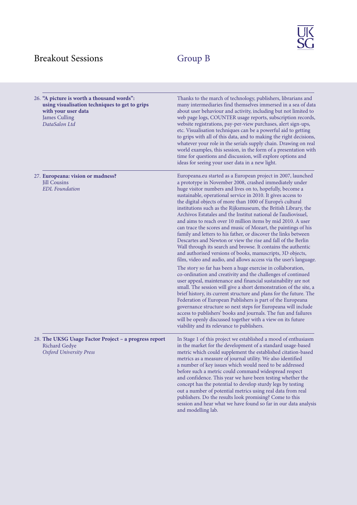# Breakout Sessions Group B

| 26. "A picture is worth a thousand words":<br>using visualisation techniques to get to grips<br>with your user data<br><b>James Culling</b><br>DataSalon Ltd | Thanks to the march of technology, publishers, librarians and<br>many intermediaries find themselves immersed in a sea of data<br>about user behaviour and activity, including but not limited to<br>web page logs, COUNTER usage reports, subscription records,<br>website registrations, pay-per-view purchases, alert sign-ups,<br>etc. Visualisation techniques can be a powerful aid to getting<br>to grips with all of this data, and to making the right decisions,<br>whatever your role in the serials supply chain. Drawing on real<br>world examples, this session, in the form of a presentation with<br>time for questions and discussion, will explore options and<br>ideas for seeing your user data in a new light.                                                                                                                                                                                            |
|--------------------------------------------------------------------------------------------------------------------------------------------------------------|--------------------------------------------------------------------------------------------------------------------------------------------------------------------------------------------------------------------------------------------------------------------------------------------------------------------------------------------------------------------------------------------------------------------------------------------------------------------------------------------------------------------------------------------------------------------------------------------------------------------------------------------------------------------------------------------------------------------------------------------------------------------------------------------------------------------------------------------------------------------------------------------------------------------------------|
| 27. Europeana: vision or madness?<br><b>Jill Cousins</b><br><b>EDL</b> Foundation                                                                            | Europeana.eu started as a European project in 2007, launched<br>a prototype in November 2008, crashed immediately under<br>huge visitor numbers and lives on to, hopefully, become a<br>sustainable, operational service in 2010. It gives access to<br>the digital objects of more than 1000 of Europe's cultural<br>institutions such as the Rijksmuseum, the British Library, the<br>Archivos Estatales and the Institut national de l'audiovisuel,<br>and aims to reach over 10 million items by mid 2010. A user<br>can trace the scores and music of Mozart, the paintings of his<br>family and letters to his father, or discover the links between<br>Descartes and Newton or view the rise and fall of the Berlin<br>Wall through its search and browse. It contains the authentic<br>and authorised versions of books, manuscripts, 3D objects,<br>film, video and audio, and allows access via the user's language. |
|                                                                                                                                                              | The story so far has been a huge exercise in collaboration,<br>co-ordination and creativity and the challenges of continued<br>user appeal, maintenance and financial sustainability are not<br>small. The session will give a short demonstration of the site, a<br>brief history, its current structure and plans for the future. The<br>Federation of European Publishers is part of the Europeana<br>governance structure so next steps for Europeana will include<br>access to publishers' books and journals. The fun and failures<br>will be openly discussed together with a view on its future<br>viability and its relevance to publishers.                                                                                                                                                                                                                                                                          |
| 28. The UKSG Usage Factor Project - a progress report<br><b>Richard Gedye</b><br><b>Oxford University Press</b>                                              | In Stage 1 of this project we established a mood of enthusiasm<br>in the market for the development of a standard usage-based<br>metric which could supplement the established citation-based<br>metrics as a measure of journal utility. We also identified<br>a number of key issues which would need to be addressed<br>before such a metric could command widespread respect<br>and confidence. This year we have been testing whether the<br>concept has the potential to develop sturdy legs by testing<br>out a number of potential metrics using real data from real<br>publishers. Do the results look promising? Come to this<br>session and hear what we have found so far in our data analysis<br>and modelling lab.                                                                                                                                                                                               |